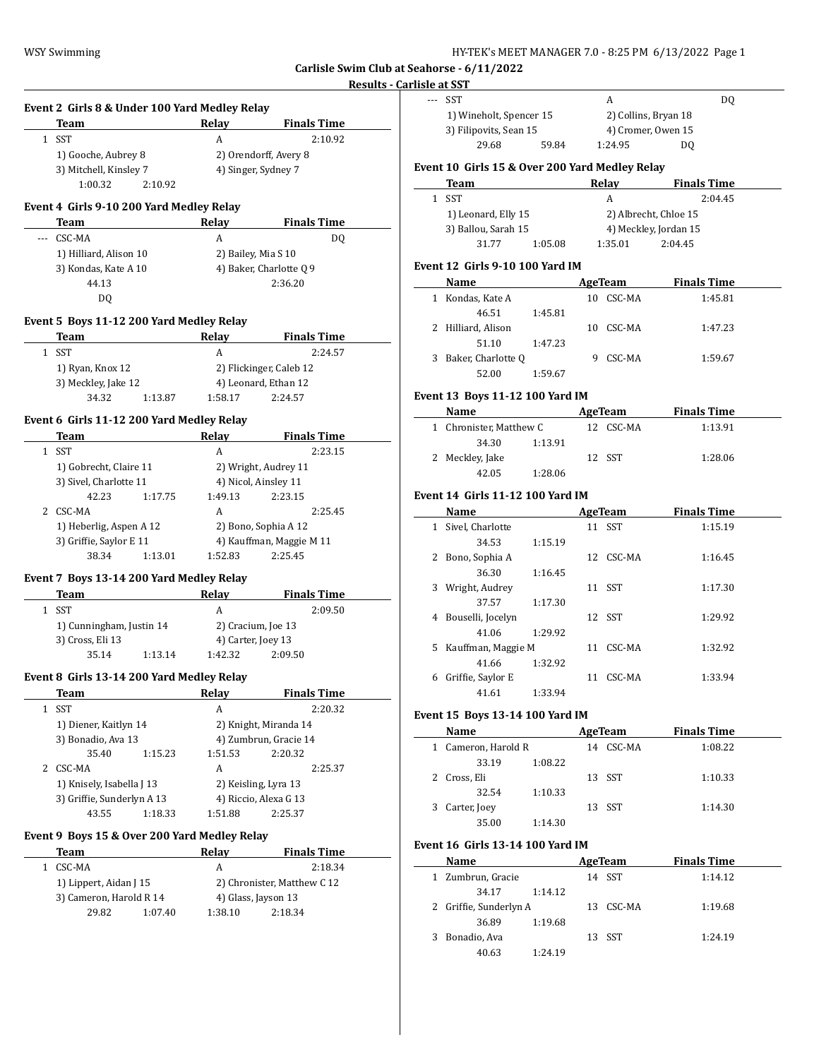# **Results - Carlisle Event 2 Girls 8 & Under 100 Yard Medley Relay Team Relay Finals Time** 1 SST A 2:10.92 1) Gooche, Aubrey 8 2) Orendorff, Avery 8 3) Mitchell, Kinsley 7 4) Singer, Sydney 7 1:00.32 2:10.92 **Event 4 Girls 9-10 200 Yard Medley Relay Team Relay Finals Time** --- CSC-MA A DQ 1) Hilliard, Alison 10 2) Bailey, Mia S 10 3) Kondas, Kate A 10 4) Baker, Charlotte Q 9 44.13 2:36.20 DQ **Event 5 Boys 11-12 200 Yard Medley Relay Team Relay Finals Time** 1 SST A 2:24.57 1) Ryan, Knox 12 2) Flickinger, Caleb 12 3) Meckley, Jake 12 4) Leonard, Ethan 12 34.32 1:13.87 1:58.17 2:24.57 **Event 6 Girls 11-12 200 Yard Medley Relay Team Relay Finals Time** 1 SST A 2:23.15 1) Gobrecht, Claire 11 2) Wright, Audrey 11 3) Sivel, Charlotte 11 4) Nicol, Ainsley 11 42.23 1:17.75 1:49.13 2:23.15 2 CSC-MA A 2:25.45 1) Heberlig, Aspen A 12 2) Bono, Sophia A 12 3) Griffie, Saylor E 11 4) Kauffman, Maggie M 11 38.34 1:13.01 1:52.83 2:25.45 **Event 7 Boys 13-14 200 Yard Medley Relay Team Relay Finals Time** 1 SST A 2:09.50 1) Cunningham, Justin 14 2) Cracium, Joe 13 3) Cross, Eli 13 4) Carter, Joey 13 35.14 1:13.14 1:42.32 2:09.50 **Event 8 Girls 13-14 200 Yard Medley Relay Team Relay Finals Time** 1 SST A 2:20.32 1) Diener, Kaitlyn 14 2) Knight, Miranda 14 3) Bonadio, Ava 13 4) Zumbrun, Gracie 14 35.40 1:15.23 1:51.53 2:20.32 2 CSC-MA A 2:25.37 1) Knisely, Isabella J 13 2) Keisling, Lyra 13 3) Griffie, Sunderlyn A 13 4) Riccio, Alexa G 13 43.55 1:18.33 1:51.88 2:25.37 **Event 9 Boys 15 & Over 200 Yard Medley Relay Team Relay Finals Time** 1 CSC-MA A 2:18.34 1) Lippert, Aidan J 15 2) Chronister, Matthew C 12 3) Cameron, Harold R 14 4) Glass, Jayson 13 29.82 1:07.40 1:38.10 2:18.34

|       | <u>lisle at SST</u>                             |         |                |                       |  |
|-------|-------------------------------------------------|---------|----------------|-----------------------|--|
| $---$ | SST                                             |         | A              | DQ                    |  |
|       | 1) Wineholt, Spencer 15                         |         |                | 2) Collins, Bryan 18  |  |
|       | 3) Filipovits, Sean 15                          |         |                | 4) Cromer, Owen 15    |  |
|       | 29.68                                           | 59.84   | 1:24.95        | DQ                    |  |
|       | Event 10  Girls 15 & Over 200 Yard Medley Relay |         |                |                       |  |
|       | Team                                            |         | <b>Relay</b>   | <b>Finals Time</b>    |  |
|       | 1 SST                                           |         | A              | 2:04.45               |  |
|       | 1) Leonard, Elly 15                             |         |                | 2) Albrecht, Chloe 15 |  |
|       | 3) Ballou, Sarah 15                             |         |                | 4) Meckley, Jordan 15 |  |
|       | 31.77                                           | 1:05.08 | 1:35.01        | 2:04.45               |  |
|       |                                                 |         |                |                       |  |
|       | Event 12  Girls 9-10 100 Yard IM                |         |                |                       |  |
|       | Name                                            |         | <b>AgeTeam</b> | <b>Finals Time</b>    |  |
|       | 1 Kondas, Kate A                                |         | 10 CSC-MA      | 1:45.81               |  |
|       | 46.51                                           | 1:45.81 |                |                       |  |
|       | 2 Hilliard, Alison                              |         | 10 CSC-MA      | 1:47.23               |  |
|       | 51.10                                           | 1:47.23 |                |                       |  |
|       | 3 Baker, Charlotte Q                            |         | 9 CSC-MA       | 1:59.67               |  |
|       | 52.00                                           | 1:59.67 |                |                       |  |
|       | Event 13 Boys 11-12 100 Yard IM                 |         |                |                       |  |
|       | Name                                            |         | AgeTeam        | <b>Finals Time</b>    |  |
|       | 1 Chronister, Matthew C                         |         | 12 CSC-MA      | 1:13.91               |  |
|       | 34.30                                           | 1:13.91 |                |                       |  |
|       | 2 Meckley, Jake                                 |         | 12 SST         | 1:28.06               |  |
|       | 42.05                                           | 1:28.06 |                |                       |  |
|       |                                                 |         |                |                       |  |
|       | Event 14  Girls 11-12 100 Yard IM               |         |                |                       |  |
|       | Name                                            |         | <b>AgeTeam</b> | <b>Finals Time</b>    |  |
|       | 1 Sivel, Charlotte                              |         | 11 SST         | 1:15.19               |  |
|       | 34.53                                           | 1:15.19 |                |                       |  |
|       | 2 Bono, Sophia A                                |         | 12 CSC-MA      | 1:16.45               |  |
|       | 36.30                                           | 1:16.45 |                |                       |  |
| 3     | Wright, Audrey                                  |         | 11 SST         | 1:17.30               |  |
|       | 37.57                                           | 1:17.30 |                |                       |  |
| 4     | Bouselli, Jocelyn                               |         | 12 SST         | 1:29.92               |  |
|       | 41.06                                           | 1:29.92 |                |                       |  |
| 5     | Kauffman, Maggie M                              |         | 11 CSC-MA      | 1:32.92               |  |
|       | 41.66                                           | 1:32.92 |                |                       |  |
|       | 6 Griffie, Saylor E                             |         | 11 CSC-MA      | 1:33.94               |  |
|       | 41.61                                           | 1:33.94 |                |                       |  |
|       | <b>Event 15 Boys 13-14 100 Yard IM</b>          |         |                |                       |  |
|       | Name                                            |         |                | AgeTeam Finals Time   |  |
|       | 1 Cameron, Harold R                             |         | 14 CSC-MA      | 1:08.22               |  |
|       | 33.19                                           | 1:08.22 |                |                       |  |
|       | 2 Cross, Eli                                    |         | 13 SST         | 1:10.33               |  |
|       | 32.54                                           | 1:10.33 |                |                       |  |
|       | 3 Carter, Joey                                  |         | 13 SST         | 1:14.30               |  |
|       | 35.00                                           | 1:14.30 |                |                       |  |
|       | <b>Event 16 Girls 13-14 100 Yard IM</b>         |         |                |                       |  |
|       |                                                 |         |                |                       |  |
|       | Name                                            |         |                | AgeTeam Finals Time   |  |
|       | 1 Zumbrun, Gracie                               |         | 14 SST         | 1:14.12               |  |
|       | 34.17                                           | 1:14.12 |                |                       |  |
|       | 2 Griffie, Sunderlyn A                          |         | 13 CSC-MA      | 1:19.68               |  |
|       | 36.89                                           | 1:19.68 |                |                       |  |
|       | 3 Bonadio, Ava                                  |         | 13 SST         | 1:24.19               |  |
|       | 40.63                                           | 1:24.19 |                |                       |  |
|       |                                                 |         |                |                       |  |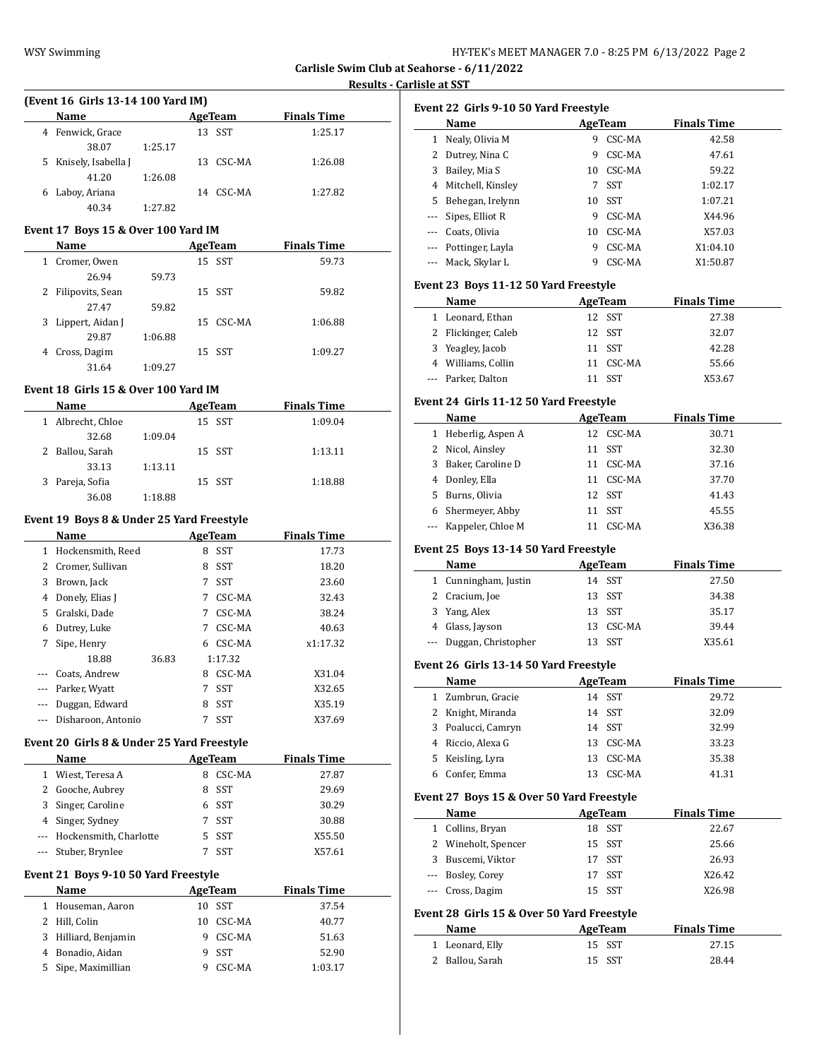**Carlisle Swim Club at Seahorse - 6/11/2022**

# **Results - Carlisle at SST**

|          | Name AgeTeam                               |         |        |                | <b>Finals Time</b> |  |
|----------|--------------------------------------------|---------|--------|----------------|--------------------|--|
|          | 4 Fenwick, Grace                           |         |        | 13 SST         | 1:25.17            |  |
|          | 38.07                                      | 1:25.17 |        |                |                    |  |
|          | 5 Knisely, Isabella J                      |         |        | 13 CSC-MA      | 1:26.08            |  |
|          | 41.20                                      | 1:26.08 |        |                |                    |  |
|          | 6 Laboy, Ariana                            |         |        | 14 CSC-MA      | 1:27.82            |  |
|          | 40.34                                      | 1:27.82 |        |                |                    |  |
|          |                                            |         |        |                |                    |  |
|          | Event 17 Boys 15 & Over 100 Yard IM        |         |        |                |                    |  |
|          | Name                                       |         |        | <b>AgeTeam</b> | <b>Finals Time</b> |  |
|          | 1 Cromer, Owen                             |         |        | 15 SST         | 59.73              |  |
|          | 26.94                                      | 59.73   |        |                |                    |  |
|          | 2 Filipovits, Sean                         |         |        | 15 SST         | 59.82              |  |
|          | 27.47                                      | 59.82   |        |                |                    |  |
|          | 3 Lippert, Aidan J                         |         |        | 15 CSC-MA      | 1:06.88            |  |
|          | 29.87                                      | 1:06.88 |        |                |                    |  |
|          | 4 Cross, Dagim                             |         |        | 15 SST         | 1:09.27            |  |
|          | 31.64                                      | 1:09.27 |        |                |                    |  |
|          | Event 18 Girls 15 & Over 100 Yard IM       |         |        |                |                    |  |
|          |                                            |         |        |                |                    |  |
|          | <b>Name</b>                                |         |        | <b>AgeTeam</b> | <b>Finals Time</b> |  |
|          | 1 Albrecht, Chloe                          |         |        | 15 SST         | 1:09.04            |  |
|          | 32.68                                      | 1:09.04 |        |                |                    |  |
|          | 2 Ballou, Sarah                            |         |        | 15 SST         | 1:13.11            |  |
|          | 33.13                                      | 1:13.11 |        |                |                    |  |
|          | 3 Pareja, Sofia                            |         |        | 15 SST         | 1:18.88            |  |
|          | 36.08                                      | 1:18.88 |        |                |                    |  |
|          | Event 19 Boys 8 & Under 25 Yard Freestyle  |         |        |                |                    |  |
|          | Name                                       |         |        | AgeTeam        | <b>Finals Time</b> |  |
|          | 1 Hockensmith, Reed                        |         |        | 8 SST          | 17.73              |  |
|          | 2 Cromer, Sullivan                         |         |        | 8 SST          | 18.20              |  |
|          | 3 Brown, Jack                              |         |        | 7 SST          | 23.60              |  |
|          | 4 Donely, Elias J                          |         |        | 7 CSC-MA       | 32.43              |  |
|          | 5 Gralski, Dade                            |         |        |                |                    |  |
|          |                                            |         |        |                |                    |  |
|          |                                            |         |        | 7 CSC-MA       | 38.24              |  |
|          | 6 Dutrey, Luke                             |         |        | 7 CSC-MA       | 40.63              |  |
|          | 7 Sipe, Henry                              |         |        | 6 CSC-MA       | x1:17.32           |  |
|          | 18.88                                      | 36.83   |        | 1:17.32        |                    |  |
|          | --- Coats, Andrew                          |         |        | 8 CSC-MA       | X31.04             |  |
| ---      | Parker, Wyatt                              |         |        | 7 SST          | X32.65             |  |
|          | Duggan, Edward                             |         | 8      | SST            | X35.19             |  |
|          | Disharoon, Antonio                         |         | 7      | SST            | X37.69             |  |
|          | Event 20 Girls 8 & Under 25 Yard Freestyle |         |        |                |                    |  |
|          |                                            |         |        |                |                    |  |
|          | <b>Name</b>                                |         |        | <b>AgeTeam</b> | <b>Finals Time</b> |  |
|          | 1 Wiest, Teresa A                          |         |        | 8 CSC-MA       | 27.87              |  |
|          | 2 Gooche, Aubrey                           |         | 8      | SST            | 29.69              |  |
|          | 3 Singer, Caroline                         |         |        | 6 SST          | 30.29              |  |
|          | 4 Singer, Sydney                           |         |        | 7 SST          | 30.88              |  |
|          | --- Hockensmith, Charlotte                 |         |        | 5 SST          | X55.50             |  |
| $\cdots$ | Stuber, Brynlee                            |         | 7      | SST            | X57.61             |  |
|          | Event 21 Boys 9-10 50 Yard Freestyle       |         |        |                |                    |  |
|          | Name                                       |         |        |                | <b>Finals Time</b> |  |
|          |                                            |         | 10     | <b>AgeTeam</b> |                    |  |
|          | 1 Houseman, Aaron                          |         |        | SST            | 37.54              |  |
|          | 2 Hill, Colin                              |         | 10     | CSC-MA         | 40.77              |  |
| 3        | Hilliard, Benjamin                         |         | 9      | CSC-MA         | 51.63              |  |
| 4<br>5   | Bonadio, Aidan<br>Sipe, Maximillian        |         | 9<br>9 | SST<br>CSC-MA  | 52.90<br>1:03.17   |  |

|                     | Name                                          |             | AgeTeam        | <b>Finals Time</b> |
|---------------------|-----------------------------------------------|-------------|----------------|--------------------|
| 1                   | Nealy, Olivia M                               | 9           | CSC-MA         | 42.58              |
| 2                   | Dutrey, Nina C                                | 9           | CSC-MA         | 47.61              |
| 3                   | Bailey, Mia S                                 |             | 10 CSC-MA      | 59.22              |
| 4                   | Mitchell, Kinsley                             | $7^{\circ}$ | SST            | 1:02.17            |
| 5                   | Behegan, Irelynn                              |             | 10 SST         | 1:07.21            |
| ---                 | Sipes, Elliot R                               |             | 9 CSC-MA       | X44.96             |
|                     | --- Coats, Olivia                             |             | 10 CSC-MA      | X57.03             |
|                     | --- Pottinger, Layla                          |             | 9 CSC-MA       | X1:04.10           |
| ---                 | Mack, Skylar L                                | 9           | CSC-MA         | X1:50.87           |
|                     | Event 23 Boys 11-12 50 Yard Freestyle         |             |                |                    |
|                     | Name                                          |             | AgeTeam        | <b>Finals Time</b> |
| $\mathbf{1}$        | Leonard, Ethan                                |             | 12 SST         | 27.38              |
| 2                   | Flickinger, Caleb                             | 12          | SST            | 32.07              |
| 3                   | Yeagley, Jacob                                | 11          | SST            | 42.28              |
|                     | 4 Williams, Collin                            | 11          | CSC-MA         | 55.66              |
|                     | --- Parker, Dalton                            | 11          | SST            | X53.67             |
|                     | Event 24 Girls 11-12 50 Yard Freestyle        |             |                |                    |
|                     | Name                                          |             | AgeTeam        | <b>Finals Time</b> |
|                     | 1 Heberlig, Aspen A                           |             | 12 CSC-MA      | 30.71              |
| 2                   | Nicol, Ainsley                                |             | 11 SST         | 32.30              |
| 3                   | Baker, Caroline D                             |             | 11 CSC-MA      | 37.16              |
| $\overline{4}$      | Donley, Ella                                  |             | 11 CSC-MA      | 37.70              |
| 5                   | Burns, Olivia                                 |             | 12 SST         | 41.43              |
|                     | 6 Shermeyer, Abby                             | 11          | SST            | 45.55              |
|                     | --- Kappeler, Chloe M                         |             | 11 CSC-MA      | X36.38             |
|                     |                                               |             |                |                    |
|                     | Event 25 Boys 13-14 50 Yard Freestyle<br>Name |             | <b>AgeTeam</b> | <b>Finals Time</b> |
|                     | 1 Cunningham, Justin                          |             | 14 SST         |                    |
|                     | 2 Cracium, Joe                                |             | 13 SST         | 27.50<br>34.38     |
| 3                   | Yang, Alex                                    |             | 13 SST         | 35.17              |
|                     | 4 Glass, Jayson                               |             | 13 CSC-MA      | 39.44              |
|                     | Duggan, Christopher                           | 13          | SST            | X35.61             |
|                     | Event 26  Girls 13-14 50 Yard Freestyle       |             |                |                    |
|                     | Name                                          |             | <b>AgeTeam</b> | <b>Finals Time</b> |
|                     | Zumbrun, Gracie                               |             | 14 SST         | 29.72              |
| $\mathbf{1}$<br>2   | Knight, Miranda                               |             | 14 SST         | 32.09              |
| 3                   | Poalucci, Camryn                              | 14          | <b>SST</b>     | 32.99              |
| 4                   | Riccio, Alexa G                               | 13          | CSC-MA         |                    |
| 5                   | Keisling, Lyra                                | 13          | CSC-MA         | 33.23              |
| 6                   | Confer, Emma                                  | 13          | CSC-MA         | 35.38<br>41.31     |
|                     | Event 27 Boys 15 & Over 50 Yard Freestyle     |             |                |                    |
|                     | Name                                          |             | <b>AgeTeam</b> | <b>Finals Time</b> |
| ---<br>$\mathbf{1}$ | Collins, Bryan                                | 18          | SST            |                    |
| 2                   | Wineholt, Spencer                             | 15          | SST            | 22.67<br>25.66     |
| 3                   | Buscemi, Viktor                               | 17          | SST            | 26.93              |
|                     |                                               | 17          |                | X26.42             |
|                     | --- Bosley, Corey<br>Cross, Dagim             | 15          | SST<br>SST     | X26.98             |
|                     | Event 28  Girls 15 & Over 50 Yard Freestyle   |             |                |                    |
|                     | Name                                          | AgeTeam     |                | <b>Finals Time</b> |
| ---<br>$\mathbf{1}$ | Leonard, Elly                                 | 15          | SST            | 27.15              |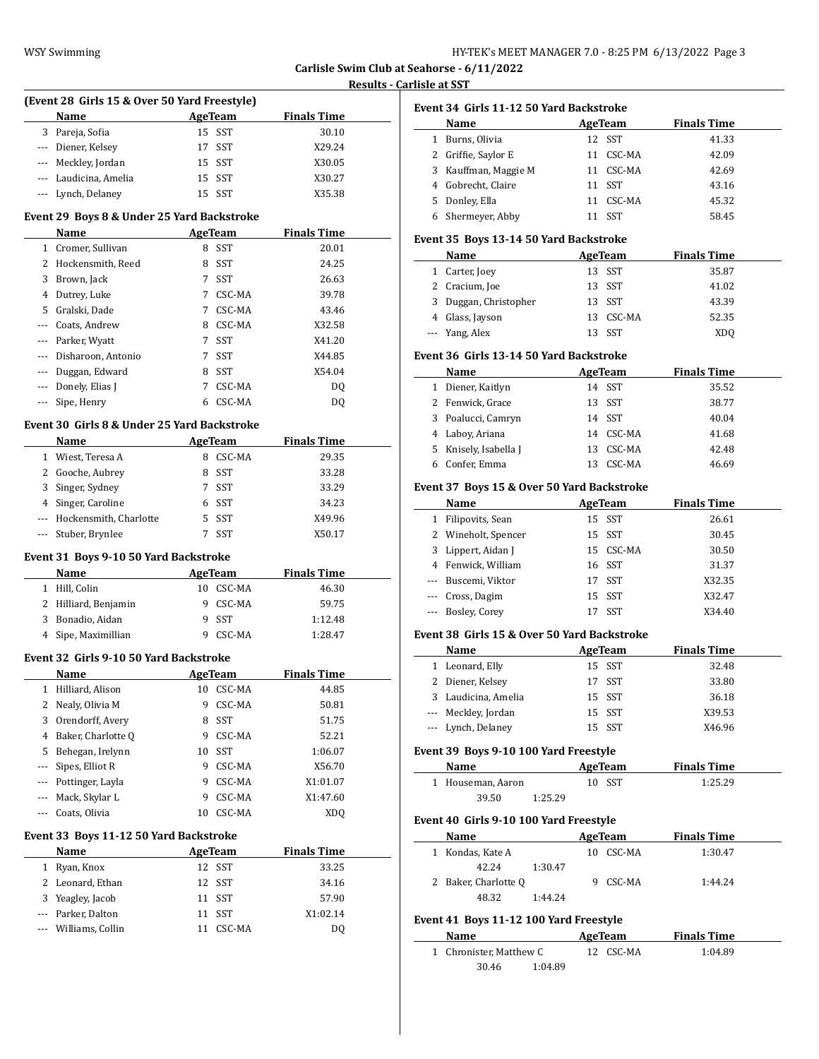| HY-TEK's MEET MANAGER 7.0 - 8:25 PM 6/13/2022 Page 3 |  |  |  |
|------------------------------------------------------|--|--|--|
|------------------------------------------------------|--|--|--|

**Reducts - Results Asset** 

|              | (Event 28 Girls 15 & Over 50 Yard Freestyle)  |    |                |                    |
|--------------|-----------------------------------------------|----|----------------|--------------------|
|              | Name                                          |    | <b>AgeTeam</b> | <b>Finals Time</b> |
|              | 3 Pareja, Sofia                               |    | 15 SST         | 30.10              |
|              | --- Diener, Kelsey                            |    | 17 SST         | X29.24             |
|              | --- Meckley, Jordan                           |    | 15 SST         | X30.05             |
|              | --- Laudicina, Amelia                         |    | 15 SST         | X30.27             |
|              | --- Lynch, Delaney                            |    | 15 SST         | X35.38             |
|              | Event 29 Boys 8 & Under 25 Yard Backstroke    |    |                |                    |
|              | Name<br><b>Example 21 AgeTeam</b>             |    |                | <b>Finals Time</b> |
|              | 1 Cromer, Sullivan                            |    | 8 SST          | 20.01              |
|              | 2 Hockensmith, Reed                           |    | 8 SST          | 24.25              |
|              | 3 Brown, Jack                                 | 7  | SST            | 26.63              |
|              | 4 Dutrey, Luke                                | 7  | CSC-MA         | 39.78              |
|              | 5 Gralski, Dade                               | 7  | CSC-MA         | 43.46              |
| ---          | Coats, Andrew                                 | 8  | CSC-MA         | X32.58             |
|              | --- Parker, Wyatt                             | 7  | SST            | X41.20             |
| ---          | Disharoon, Antonio                            | 7  | SST            | X44.85             |
| ---          | Duggan, Edward                                |    | 8 SST          | X54.04             |
|              | --- Donely, Elias J                           | 7  | CSC-MA         | DQ                 |
| ---          | Sipe, Henry                                   | 6  | CSC-MA         | DQ                 |
|              | Event 30 Girls 8 & Under 25 Yard Backstroke   |    |                |                    |
|              | <b>AgeTeam</b><br>Name                        |    |                | <b>Finals Time</b> |
|              | 1 Wiest, Teresa A                             |    | 8 CSC-MA       | 29.35              |
|              | 2 Gooche, Aubrey                              |    | 8 SST          | 33.28              |
|              | 3 Singer, Sydney                              |    | 7 SST          | 33.29              |
|              | 4 Singer, Caroline                            | 6  | SST            | 34.23              |
|              | --- Hockensmith, Charlotte                    | 5  | SST            | X49.96             |
| ---          | Stuber, Brynlee                               | 7  | SST            | X50.17             |
|              | Event 31 Boys 9-10 50 Yard Backstroke         |    |                |                    |
|              | Name                                          |    | AgeTeam        | <b>Finals Time</b> |
|              | 1 Hill, Colin                                 |    | 10 CSC-MA      | 46.30              |
|              | 2 Hilliard, Benjamin                          | 9  | CSC-MA         | 59.75              |
|              | 3 Bonadio, Aidan                              | 9  | SST            | 1:12.48            |
|              | 4 Sipe, Maximillian                           |    | 9 CSC-MA       | 1:28.47            |
|              | <b>Event 32 Girls 9-10 50 Yard Backstroke</b> |    |                |                    |
|              | Name                                          |    | <b>AgeTeam</b> | <b>Finals Time</b> |
| $\mathbf{1}$ | Hilliard, Alison                              | 10 | CSC-MA         | 44.85              |
| 2            | Nealy, Olivia M                               | 9  | CSC-MA         | 50.81              |
| 3            | Orendorff, Avery                              | 8  | SST            | 51.75              |
| 4            | Baker, Charlotte O                            | 9  | CSC-MA         | 52.21              |
| 5            | Behegan, Irelynn                              | 10 | SST            | 1:06.07            |
| ---          | Sipes, Elliot R                               | 9  | CSC-MA         | X56.70             |
| ---          | Pottinger, Layla                              | 9  | CSC-MA         | X1:01.07           |
|              | Mack, Skylar L                                | 9  | CSC-MA         | X1:47.60           |
|              | Coats, Olivia                                 | 10 | CSC-MA         | XDQ                |
|              | Event 33 Boys 11-12 50 Yard Backstroke        |    |                |                    |
|              | Name                                          |    | AgeTeam        | <b>Finals Time</b> |
|              |                                               |    | 12 SST         | 33.25              |
| $\mathbf{1}$ | Ryan, Knox                                    |    |                | 34.16              |
| 2            | Leonard, Ethan                                | 12 | SST            |                    |
| 3            | Yeagley, Jacob                                | 11 | SST            | 57.90              |
| ---          | Parker, Dalton                                | 11 | <b>SST</b>     | X1:02.14           |

|     | Event 34  Girls 11-12 50 Yard Backstroke     |                          |                |                    |
|-----|----------------------------------------------|--------------------------|----------------|--------------------|
|     | Name                                         |                          | <b>AgeTeam</b> | <b>Finals Time</b> |
|     | 1 Burns, Olivia                              |                          | 12 SST         | 41.33              |
|     | 2 Griffie, Saylor E                          |                          | 11 CSC-MA      | 42.09              |
|     | 3 Kauffman, Maggie M                         |                          | 11 CSC-MA      | 42.69              |
|     | 4 Gobrecht, Claire                           |                          | 11 SST         | 43.16              |
|     | 5 Donley, Ella                               |                          | 11 CSC-MA      | 45.32              |
|     | 6 Shermeyer, Abby                            |                          | 11 SST         | 58.45              |
|     |                                              |                          |                |                    |
|     | Event 35 Boys 13-14 50 Yard Backstroke       |                          |                |                    |
|     | Name                                         | <b>Example 2</b> AgeTeam |                | <b>Finals Time</b> |
|     | 1 Carter, Joey                               |                          | 13 SST         | 35.87              |
|     | 2 Cracium, Joe                               |                          | 13 SST         | 41.02              |
| 3   | Duggan, Christopher                          |                          | 13 SST         | 43.39              |
|     | 4 Glass, Jayson                              |                          | 13 CSC-MA      | 52.35              |
|     | --- Yang, Alex                               |                          | 13 SST         | XDQ                |
|     | Event 36  Girls 13-14 50 Yard Backstroke     |                          |                |                    |
|     | Name AgeTeam                                 |                          |                | <b>Finals Time</b> |
|     | 1 Diener, Kaitlyn                            |                          | 14 SST         | 35.52              |
|     | 2 Fenwick, Grace                             |                          | 13 SST         | 38.77              |
|     | 3 Poalucci, Camryn                           |                          | 14 SST         | 40.04              |
|     | 4 Laboy, Ariana                              |                          | 14 CSC-MA      | 41.68              |
|     | 5 Knisely, Isabella J                        |                          | 13 CSC-MA      | 42.48              |
|     | 6 Confer, Emma                               |                          | 13 CSC-MA      | 46.69              |
|     |                                              |                          |                |                    |
|     | Event 37 Boys 15 & Over 50 Yard Backstroke   |                          |                |                    |
|     | Name                                         |                          | AgeTeam        | <b>Finals Time</b> |
|     | 1 Filipovits, Sean                           |                          | 15 SST         | 26.61              |
|     | 2 Wineholt, Spencer                          |                          | 15 SST         | 30.45              |
| 3   | Lippert, Aidan J                             |                          | 15 CSC-MA      | 30.50              |
|     | 4 Fenwick, William                           |                          | 16 SST         | 31.37              |
|     | --- Buscemi, Viktor                          |                          | 17 SST         | X32.35             |
|     | --- Cross, Dagim                             |                          | 15 SST         | X32.47             |
| --- | Bosley, Corey                                |                          | 17 SST         | X34.40             |
|     |                                              |                          |                |                    |
|     | Event 38  Girls 15 & Over 50 Yard Backstroke |                          |                |                    |
|     | Name                                         |                          | AgeTeam        | <b>Finals Time</b> |
|     | 1 Leonard, Elly                              |                          | 15 SST         | 32.48              |
|     | 2 Diener, Kelsey                             |                          | 17 SST         | 33.80              |
|     | 3 Laudicina, Amelia                          |                          | 15 SST         | 36.18              |
|     |                                              |                          | 15 SST         | X39.53             |
| --- | --- Meckley, Jordan<br>Lynch, Delaney        |                          | 15 SST         | X46.96             |
|     |                                              |                          |                |                    |
|     | Event 39 Boys 9-10 100 Yard Freestyle        |                          |                |                    |
|     | Name                                         |                          | <b>AgeTeam</b> | <b>Finals Time</b> |
|     | 1 Houseman, Aaron                            |                          | 10 SST         | 1:25.29            |
|     | 39.50                                        | 1:25.29                  |                |                    |
|     | Event 40 Girls 9-10 100 Yard Freestyle       |                          |                |                    |
|     | Name                                         |                          | AgeTeam        | <b>Finals Time</b> |
|     | 1 Kondas, Kate A                             |                          | 10 CSC-MA      | 1:30.47            |
|     | 42.24                                        | 1:30.47                  |                |                    |
|     | 2 Baker, Charlotte Q                         |                          | 9 CSC-MA       | 1:44.24            |
|     | 48.32                                        | 1:44.24                  |                |                    |
|     | Event 41 Boys 11-12 100 Yard Freestyle       |                          |                |                    |
|     | Name                                         |                          | AgeTeam        | <b>Finals Time</b> |
|     | 1 Chronister, Matthew C                      |                          | 12 CSC-MA      | 1:04.89            |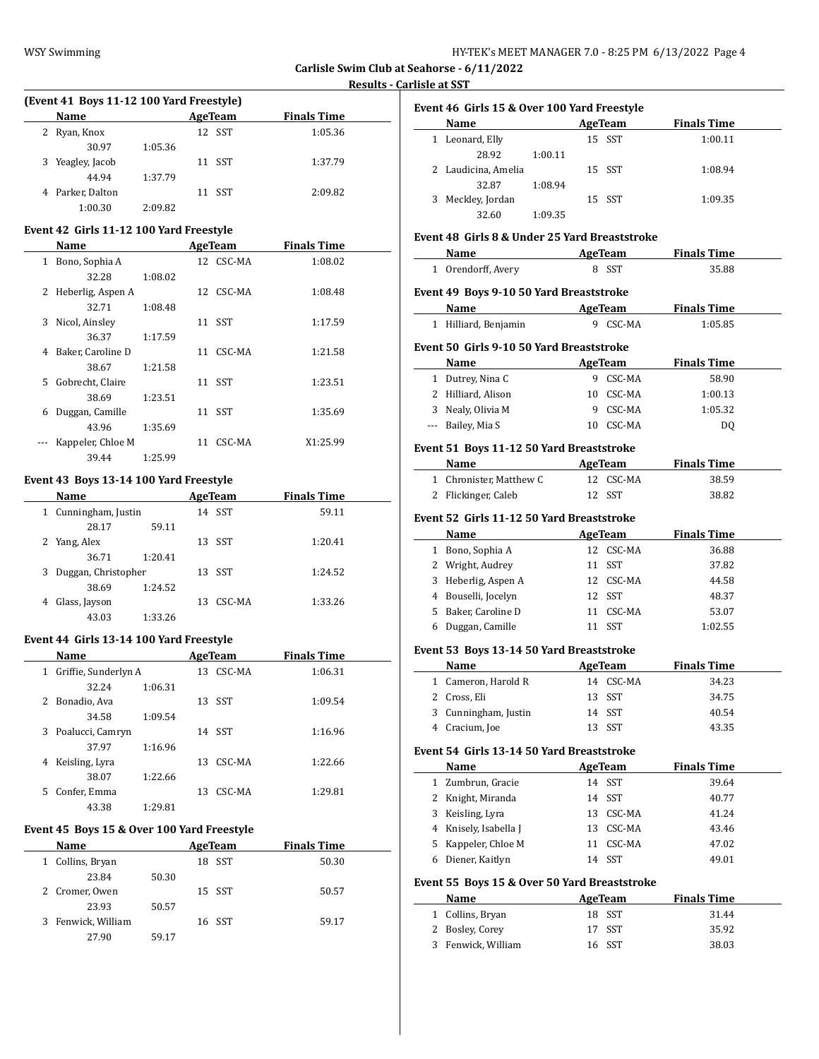#### **Results - Carlisl**

| (Event 41 Boys 11-12 100 Yard Freestyle) |         |         |  |                    |  |
|------------------------------------------|---------|---------|--|--------------------|--|
| <b>Name</b>                              |         | AgeTeam |  | <b>Finals Time</b> |  |
| 2 Ryan, Knox                             |         | 12 SST  |  | 1:05.36            |  |
| 30.97                                    | 1:05.36 |         |  |                    |  |
| 3 Yeagley, Jacob                         |         | 11 SST  |  | 1:37.79            |  |
| 44.94                                    | 1:37.79 |         |  |                    |  |
| 4 Parker, Dalton                         |         | 11 SST  |  | 2:09.82            |  |
| 1:00.30                                  | 2:09.82 |         |  |                    |  |

#### **Event 42 Girls 11-12 100 Yard Freestyle**

|   | Name                |         | AgeTeam   | <b>Finals Time</b> |  |
|---|---------------------|---------|-----------|--------------------|--|
| 1 | Bono, Sophia A      |         | 12 CSC-MA | 1:08.02            |  |
|   | 32.28               | 1:08.02 |           |                    |  |
|   | 2 Heberlig, Aspen A |         | 12 CSC-MA | 1:08.48            |  |
|   | 32.71               | 1:08.48 |           |                    |  |
| 3 | Nicol, Ainsley      |         | 11 SST    | 1:17.59            |  |
|   | 36.37               | 1:17.59 |           |                    |  |
| 4 | Baker, Caroline D   |         | 11 CSC-MA | 1:21.58            |  |
|   | 38.67               | 1:21.58 |           |                    |  |
|   | 5 Gobrecht, Claire  |         | 11 SST    | 1:23.51            |  |
|   | 38.69               | 1:23.51 |           |                    |  |
| 6 | Duggan, Camille     |         | 11 SST    | 1:35.69            |  |
|   | 43.96               | 1:35.69 |           |                    |  |
|   | Kappeler, Chloe M   |         | 11 CSC-MA | X1:25.99           |  |
|   | 39.44               | 1:25.99 |           |                    |  |

#### **Event 43 Boys 13-14 100 Yard Freestyle**

|   | <b>Name</b>         |         | <b>AgeTeam</b> | <b>Finals Time</b> |  |
|---|---------------------|---------|----------------|--------------------|--|
| 1 | Cunningham, Justin  |         | 14 SST         | 59.11              |  |
|   | 28.17               | 59.11   |                |                    |  |
|   | 2 Yang, Alex        |         | 13 SST         | 1:20.41            |  |
|   | 36.71               | 1:20.41 |                |                    |  |
| 3 | Duggan, Christopher |         | 13 SST         | 1:24.52            |  |
|   | 38.69               | 1:24.52 |                |                    |  |
|   | Glass, Jayson       | 13      | CSC-MA         | 1:33.26            |  |
|   | 43.03               | 1:33.26 |                |                    |  |

## **Event 44 Girls 13-14 100 Yard Freestyle**

|    | <b>Name</b>          |         |     | AgeTeam | <b>Finals Time</b> |  |
|----|----------------------|---------|-----|---------|--------------------|--|
| 1  | Griffie, Sunderlyn A |         | 13  | CSC-MA  | 1:06.31            |  |
|    | 32.24                | 1:06.31 |     |         |                    |  |
| 2  | Bonadio, Ava         |         | 13. | SST     | 1:09.54            |  |
|    | 34.58                | 1:09.54 |     |         |                    |  |
| 3  | Poalucci, Camryn     |         | 14  | SST     | 1:16.96            |  |
|    | 37.97                | 1:16.96 |     |         |                    |  |
| 4  | Keisling, Lyra       |         | 13. | CSC-MA  | 1:22.66            |  |
|    | 38.07                | 1:22.66 |     |         |                    |  |
| 5. | Confer, Emma         |         | 13. | CSC-MA  | 1:29.81            |  |
|    | 43.38                | 1:29.81 |     |         |                    |  |

#### **Event 45 Boys 15 & Over 100 Yard Freestyle**

| Name               |       | AgeTeam | <b>Finals Time</b> |
|--------------------|-------|---------|--------------------|
| 1 Collins, Bryan   |       | 18 SST  | 50.30              |
| 23.84              | 50.30 |         |                    |
| 2 Cromer, Owen     |       | 15 SST  | 50.57              |
| 23.93              | 50.57 |         |                    |
| 3 Fenwick, William |       | 16 SST  | 59.17              |
| 27.90              | 59.17 |         |                    |

|              | Event 46 Girls 15 & Over 100 Yard Freestyle                                                                                                                                                                                    |                |                    |
|--------------|--------------------------------------------------------------------------------------------------------------------------------------------------------------------------------------------------------------------------------|----------------|--------------------|
|              | Name and the state of the state of the state of the state of the state of the state of the state of the state of the state of the state of the state of the state of the state of the state of the state of the state of the s | AgeTeam        | <b>Finals Time</b> |
|              | 1 Leonard, Elly<br>28.92<br>1:00.11                                                                                                                                                                                            | 15 SST         | 1:00.11            |
|              | 2 Laudicina, Amelia<br>32.87<br>1:08.94                                                                                                                                                                                        | 15 SST         | 1:08.94            |
|              | 3 Meckley, Jordan                                                                                                                                                                                                              | 15 SST         | 1:09.35            |
|              | 32.60<br>1:09.35                                                                                                                                                                                                               |                |                    |
|              | Event 48 Girls 8 & Under 25 Yard Breaststroke                                                                                                                                                                                  |                |                    |
|              | Name<br><b>Example 2 AgeTeam</b>                                                                                                                                                                                               |                | <b>Finals Time</b> |
|              | 1 Orendorff, Avery                                                                                                                                                                                                             | 8 SST          | 35.88              |
|              | Event 49 Boys 9-10 50 Yard Breaststroke                                                                                                                                                                                        |                |                    |
|              | <b>Example 21 AgeTeam</b><br>Name                                                                                                                                                                                              |                | <b>Finals Time</b> |
|              | 1 Hilliard, Benjamin                                                                                                                                                                                                           | 9 CSC-MA       | 1:05.85            |
|              | Event 50 Girls 9-10 50 Yard Breaststroke                                                                                                                                                                                       |                |                    |
|              | Name                                                                                                                                                                                                                           | AgeTeam        | <b>Finals Time</b> |
|              | 1 Dutrey, Nina C                                                                                                                                                                                                               | 9 CSC-MA       | 58.90              |
|              | 2 Hilliard, Alison                                                                                                                                                                                                             | 10 CSC-MA      | 1:00.13            |
|              | 3 Nealy, Olivia M                                                                                                                                                                                                              | 9 CSC-MA       | 1:05.32            |
|              | --- Bailey, Mia S                                                                                                                                                                                                              | 10 CSC-MA      | DQ                 |
|              | Event 51 Boys 11-12 50 Yard Breaststroke                                                                                                                                                                                       |                |                    |
|              | Name                                                                                                                                                                                                                           | AgeTeam        | <b>Finals Time</b> |
|              | 1 Chronister, Matthew C                                                                                                                                                                                                        | 12 CSC-MA      | 38.59              |
|              | 2 Flickinger, Caleb                                                                                                                                                                                                            | 12 SST         | 38.82              |
|              | Event 52 Girls 11-12 50 Yard Breaststroke                                                                                                                                                                                      |                |                    |
|              | Name                                                                                                                                                                                                                           | AgeTeam        | <b>Finals Time</b> |
|              | 1 Bono, Sophia A                                                                                                                                                                                                               | 12 CSC-MA      | 36.88              |
|              | 2 Wright, Audrey                                                                                                                                                                                                               | 11 SST         | 37.82              |
|              | 3 Heberlig, Aspen A                                                                                                                                                                                                            | 12 CSC-MA      | 44.58              |
|              | 4 Bouselli, Jocelyn                                                                                                                                                                                                            | 12 SST         | 48.37              |
|              | 5 Baker, Caroline D                                                                                                                                                                                                            | 11 CSC-MA      | 53.07              |
|              | 6 Duggan, Camille                                                                                                                                                                                                              | 11 SST         | 1:02.55            |
|              | Event 53 Boys 13-14 50 Yard Breaststroke                                                                                                                                                                                       |                |                    |
|              | Name                                                                                                                                                                                                                           | <b>AgeTeam</b> | <b>Finals Time</b> |
|              | 1 Cameron, Harold R                                                                                                                                                                                                            | 14 CSC-MA      | 34.23              |
|              | 2 Cross, Eli                                                                                                                                                                                                                   | 13 SST         | 34.75              |
| 3            | Cunningham, Justin                                                                                                                                                                                                             | SST<br>14      | 40.54              |
|              | 4 Cracium, Joe                                                                                                                                                                                                                 | 13<br>SST      | 43.35              |
|              | Event 54 Girls 13-14 50 Yard Breaststroke                                                                                                                                                                                      |                |                    |
|              | Name                                                                                                                                                                                                                           | <b>AgeTeam</b> | <b>Finals Time</b> |
| $\mathbf{1}$ | Zumbrun, Gracie                                                                                                                                                                                                                | SST<br>14      | 39.64              |
|              | 2 Knight, Miranda                                                                                                                                                                                                              | SST<br>14      | 40.77              |
|              | 3 Keisling, Lyra                                                                                                                                                                                                               | 13 CSC-MA      | 41.24              |
|              | 4 Knisely, Isabella J                                                                                                                                                                                                          | 13 CSC-MA      | 43.46              |
| 5            | Kappeler, Chloe M                                                                                                                                                                                                              | 11 CSC-MA      | 47.02              |
| 6            | Diener, Kaitlyn                                                                                                                                                                                                                | SST<br>14      | 49.01              |
|              | Event 55 Boys 15 & Over 50 Yard Breaststroke                                                                                                                                                                                   |                |                    |
|              | <b>Name</b>                                                                                                                                                                                                                    | <b>AgeTeam</b> | <b>Finals Time</b> |
|              | 1 Collins, Bryan                                                                                                                                                                                                               | SST<br>18      | 31.44              |
|              | 2 Bosley, Corey                                                                                                                                                                                                                | 17<br>SST      | 35.92              |
|              | 3 Fenwick, William                                                                                                                                                                                                             | SST<br>16      | 38.03              |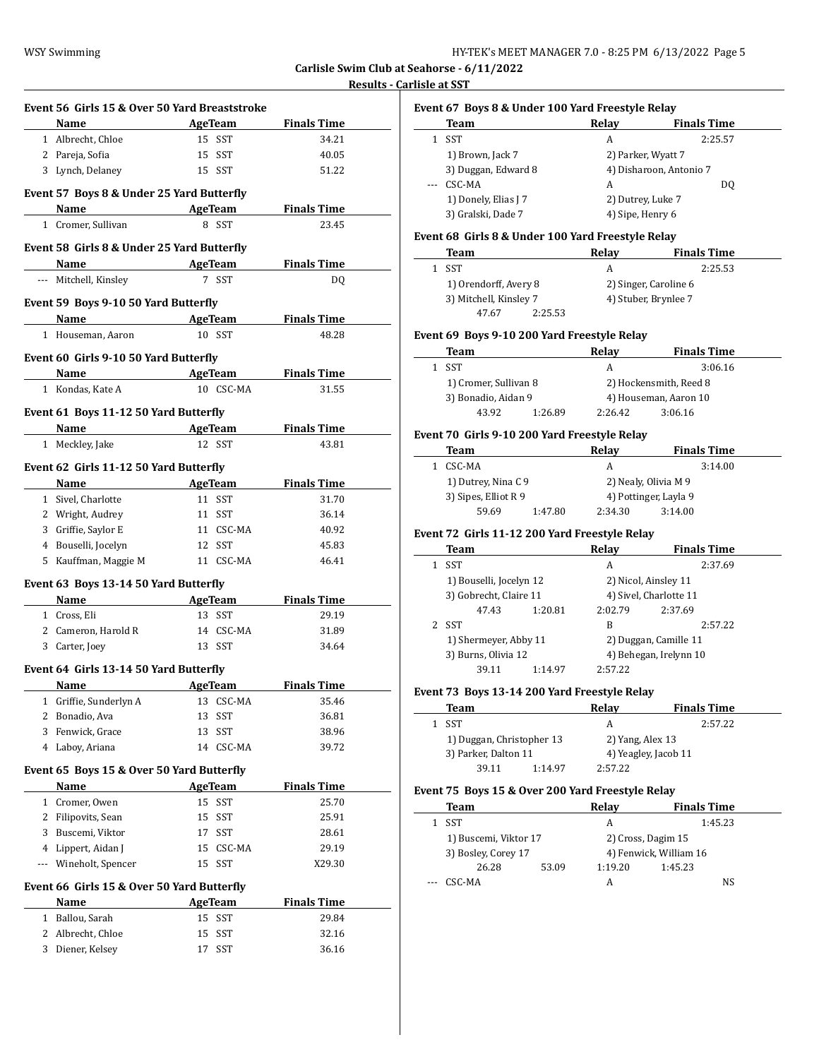**Results - Carlisle at SST**

|                | Event 56 Girls 15 & Over 50 Yard Breaststroke |                                                  |                             |
|----------------|-----------------------------------------------|--------------------------------------------------|-----------------------------|
|                | Name<br>1 Albrecht, Chloe                     | <b>Example 2.1 AgeTeam</b> Finals Time<br>15 SST | 34.21                       |
|                | 2 Pareja, Sofia                               | 15 SST                                           | 40.05                       |
|                | 3 Lynch, Delaney                              | 15 SST                                           | 51.22                       |
|                |                                               |                                                  |                             |
|                | Event 57 Boys 8 & Under 25 Yard Butterfly     |                                                  |                             |
|                | Name                                          | AgeTeam                                          | <b>Finals Time</b>          |
|                | 1 Cromer, Sullivan                            | 8 SST                                            | 23.45                       |
|                | Event 58 Girls 8 & Under 25 Yard Butterfly    |                                                  |                             |
|                | Name                                          | AgeTeam                                          | <b>Finals Time</b>          |
|                | --- Mitchell, Kinsley                         | 7 SST                                            | DQ                          |
|                | Event 59 Boys 9-10 50 Yard Butterfly          |                                                  |                             |
|                | Name AgeTeam Finals Time                      |                                                  |                             |
|                | 1 Houseman, Aaron                             | 10 SST                                           | 48.28                       |
|                | Event 60 Girls 9-10 50 Yard Butterfly         |                                                  |                             |
|                | Name AgeTeam                                  |                                                  | <b>Finals Time</b>          |
|                | 1 Kondas, Kate A                              | 10 CSC-MA                                        | 31.55                       |
|                |                                               |                                                  |                             |
|                | Event 61 Boys 11-12 50 Yard Butterfly         |                                                  |                             |
|                | Name AgeTeam<br>1 Meckley, Jake               | 12 SST                                           | <b>Finals Time</b><br>43.81 |
|                |                                               |                                                  |                             |
|                | Event 62 Girls 11-12 50 Yard Butterfly        |                                                  |                             |
|                | Name AgeTeam Finals Time                      |                                                  |                             |
|                | 1 Sivel, Charlotte                            | 11 SST                                           | 31.70                       |
|                | 2 Wright, Audrey                              | 11 SST                                           | 36.14                       |
|                | 3 Griffie, Saylor E                           | 11 CSC-MA                                        | 40.92                       |
|                | 4 Bouselli, Jocelyn                           | 12 SST                                           | 45.83                       |
|                | 5 Kauffman, Maggie M                          | 11 CSC-MA                                        | 46.41                       |
|                | Event 63 Boys 13-14 50 Yard Butterfly         |                                                  |                             |
|                | Name                                          | <b>Example 2 AgeTeam</b> Pinals Time             |                             |
|                | 1 Cross, Eli                                  | 13 SST                                           | 29.19                       |
|                | 2 Cameron, Harold R                           | 14 CSC-MA                                        | 31.89                       |
|                | 3 Carter, Joey                                | 13 SST                                           | 34.64                       |
|                | Event 64 Girls 13-14 50 Yard Butterfly        |                                                  |                             |
|                | Name AgeTeam                                  |                                                  | <b>Finals Time</b>          |
| 1              | Griffie, Sunderlyn A                          | 13 CSC-MA                                        | 35.46                       |
| 2              | Bonadio, Ava                                  | 13<br>SST                                        | 36.81                       |
| 3              | Fenwick, Grace                                | <b>SST</b><br>13                                 | 38.96                       |
| 4              | Laboy, Ariana                                 | 14 CSC-MA                                        | 39.72                       |
|                | Event 65 Boys 15 & Over 50 Yard Butterfly     |                                                  |                             |
|                | Name                                          | <b>AgeTeam</b>                                   | <b>Finals Time</b>          |
|                | 1 Cromer, Owen                                | SST<br>15                                        | 25.70                       |
| $\overline{2}$ | Filipovits, Sean                              | 15<br>SST                                        | 25.91                       |
| 3              | Buscemi, Viktor                               | 17<br>SST                                        | 28.61                       |
|                | 4 Lippert, Aidan J                            | CSC-MA<br>15                                     | 29.19                       |
| ---            | Wineholt, Spencer                             | 15<br>SST                                        | X29.30                      |
|                | Event 66 Girls 15 & Over 50 Yard Butterfly    |                                                  |                             |
|                | Name                                          | <b>AgeTeam</b>                                   | <b>Finals Time</b>          |
|                | Ballou, Sarah                                 | 15 SST                                           | 29.84                       |
| $\mathbf{1}$   |                                               |                                                  |                             |
| 2              | Albrecht, Chloe                               | SST<br>15                                        | 32.16                       |

|              | Team                                               | Relay              | <b>Finals Time</b>      |
|--------------|----------------------------------------------------|--------------------|-------------------------|
| $\mathbf{1}$ | SST                                                | A                  | 2:25.57                 |
|              | 1) Brown, Jack 7                                   |                    | 2) Parker, Wyatt 7      |
|              | 3) Duggan, Edward 8                                |                    | 4) Disharoon, Antonio 7 |
|              | CSC-MA                                             | A                  | DQ                      |
|              | 1) Donely, Elias J 7                               | 2) Dutrey, Luke 7  |                         |
|              | 3) Gralski, Dade 7                                 | 4) Sipe, Henry 6   |                         |
|              | Event 68  Girls 8 & Under 100 Yard Freestyle Relay |                    |                         |
|              | Team                                               | <b>Relay</b>       | <b>Finals Time</b>      |
|              | 1 SST                                              | A                  | 2:25.53                 |
|              | 1) Orendorff, Avery 8                              |                    | 2) Singer, Caroline 6   |
|              | 3) Mitchell, Kinsley 7                             |                    | 4) Stuber, Brynlee 7    |
|              | 47.67                                              | 2:25.53            |                         |
|              | Event 69  Boys 9-10 200 Yard Freestyle Relay       |                    |                         |
|              | Team                                               | Relay              | <b>Finals Time</b>      |
| $\mathbf{1}$ | <b>SST</b>                                         | A                  | 3:06.16                 |
|              | 1) Cromer, Sullivan 8                              |                    | 2) Hockensmith, Reed 8  |
|              | 3) Bonadio, Aidan 9                                |                    | 4) Houseman, Aaron 10   |
|              | 43.92                                              | 2:26.42<br>1:26.89 | 3:06.16                 |
|              | Event 70 Girls 9-10 200 Yard Freestyle Relay       |                    |                         |
|              | Team                                               | Relay              | <b>Finals Time</b>      |
|              | 1 CSC-MA                                           | A                  | 3:14.00                 |
|              | 1) Dutrey, Nina C 9                                |                    | 2) Nealy, Olivia M 9    |
|              | 3) Sipes, Elliot R 9                               |                    | 4) Pottinger, Layla 9   |
|              | 59.69                                              | 2:34.30<br>1:47.80 | 3:14.00                 |
|              | Event 72  Girls 11-12 200 Yard Freestyle Relay     |                    |                         |
|              | Team                                               | Relay              | <b>Finals Time</b>      |
| $\mathbf{1}$ | SST                                                | A                  | 2:37.69                 |
|              | 1) Bouselli, Jocelyn 12                            |                    | 2) Nicol, Ainsley 11    |
|              | 3) Gobrecht, Claire 11                             |                    | 4) Sivel, Charlotte 11  |
|              | 47.43                                              | 2:02.79<br>1:20.81 | 2:37.69                 |
| 2            | SST                                                | B                  | 2:57.22                 |
|              | 1) Shermeyer, Abby 11                              |                    | 2) Duggan, Camille 11   |
|              | 3) Burns, Olivia 12                                |                    | 4) Behegan, Irelynn 10  |
|              | 39.11                                              | 2:57.22<br>1:14.97 |                         |
|              | Event 73 Boys 13-14 200 Yard Freestyle Relay       |                    |                         |
|              | Team                                               | Relay              | <b>Finals Time</b>      |
|              | 1 SST                                              | A                  | 2:57.22                 |
|              |                                                    |                    | 2) Yang, Alex 13        |
|              | 1) Duggan, Christopher 13                          |                    |                         |
|              | 3) Parker, Dalton 11                               |                    | 4) Yeagley, Jacob 11    |
|              | 39.11                                              | 1:14.97<br>2:57.22 |                         |
|              | Event 75  Boys 15 & Over 200 Yard Freestyle Relay  |                    |                         |
|              | Team                                               | Relay              | <b>Finals Time</b>      |

| SST                   |       |                        | 1:45.23 |
|-----------------------|-------|------------------------|---------|
| 1) Buscemi, Viktor 17 |       | 2) Cross, Dagim 15     |         |
| 3) Bosley, Corey 17   |       | 4) Fenwick, William 16 |         |
| 26.28                 | 53.09 | 1:19.20                | 1:45.23 |
| CSC-MA                |       |                        | NS      |